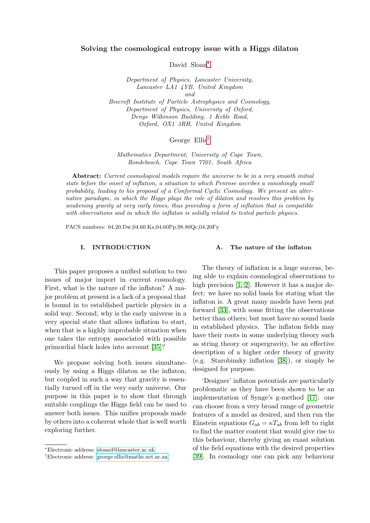# Solving the cosmological entropy issue with a Higgs dilaton

David Sloan[∗](#page-0-0)

Department of Physics, Lancaster University, Lancaster LA1 4YB, United Kingdom and Beecroft Institute of Particle Astrophysics and Cosmology, Department of Physics, University of Oxford, Denys Wilkinson Building, 1 Keble Road, Oxford, OX1 3RH, United Kingdom

# George Ellis[†](#page-0-1)

Mathematics Department, University of Cape Town, Rondebosch, Cape Town 7701, South Africa

Abstract: Current cosmological models require the universe to be in a very smooth initial state before the onset of inflation, a situation to which Penrose ascribes a vanishingly small probability, leading to his proposal of a Conformal Cyclic Cosmology. We present an alternative paradigm, in which the Higgs plays the role of dilaton and resolves this problem by weakening gravity at very early times, thus providing a form of inflation that is compatible with observations and in which the inflaton is solidly related to tested particle physics.

PACS numbers: 04.20.Dw,04.60.Kz,04.60Pp,98.80Qc,04.20Fy

## I. INTRODUCTION

# A. The nature of the inflaton

This paper proposes a unified solution to two issues of major import in current cosmology. First, what is the nature of the inflaton? A major problem at present is a lack of a proposal that is bound in to established particle physics in a solid way. Second, why is the early universe in a very special state that allows inflation to start, when that is a highly improbable situation when one takes the entropy associated with possible primordial black holes into account [\[35\]](#page-15-0)?

We propose solving both issues simultaneously by using a Higgs dilaton as the inflaton, but coupled in such a way that gravity is essentially turned off in the very early universe. Our purpose in this paper is to show that through suitable couplings the Higgs field can be used to answer both issues. This unifies proposals made by others into a coherent whole that is well worth exploring further.

The theory of inflation is a huge success, being able to explain cosmological observations to high precision [\[1,](#page-14-0) [2\]](#page-14-1). However it has a major defect: we have no solid basis for stating what the inflaton is. A great many models have been put forward [\[33\]](#page-15-1), with some fitting the observations better than others; but most have no sound basis in established physics. The inflaton fields may have their roots in some underlying theory such as string theory or supergravity, be an effective description of a higher order theory of gravity (e.g. Starobinsky inflation [\[38\]](#page-15-2)), or simply be designed for purpose.

'Designer' inflaton potentials are particularly problematic as they have been shown to be an implementation of Synge's g-method [\[17\]](#page-14-2): one can choose from a very broad range of geometric features of a model as desired, and then run the Einstein equations  $G_{ab} = \kappa T_{ab}$  from left to right to find the matter content that would give rise to this behaviour, thereby giving an exaat solution of the field equations with the desired properties [\[39\]](#page-15-3). In cosmology one can pick any behaviour

<span id="page-0-0"></span><sup>∗</sup>Electronic address: [sloand@lancaster.ac.uk](mailto:sloand@lancaster.ac.uk)

<span id="page-0-1"></span><sup>†</sup>Electronic address: [george.ellis@maths.uct.ac.za](mailto:george.ellis@maths.uct.ac.za)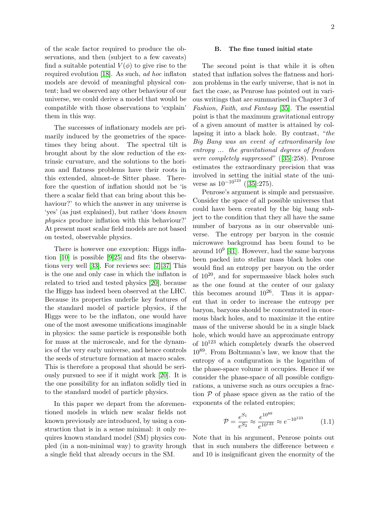of the scale factor required to produce the observations, and then (subject to a few caveats) find a suitable potential  $V(\phi)$  to give rise to the required evolution [\[18\]](#page-14-3). As such, ad hoc inflaton models are devoid of meaningful physical content; had we observed any other behaviour of our universe, we could derive a model that would be compatible with those observations to 'explain' them in this way.

The successes of inflationary models are primarily induced by the geometries of the spacetimes they bring about. The spectral tilt is brought about by the slow reduction of the extrinsic curvature, and the solutions to the horizon and flatness problems have their roots in this extended, almost-de Sitter phase. Therefore the question of inflation should not be 'is there a scalar field that can bring about this behaviour?' to which the answer in any universe is 'yes' (as just explained), but rather 'does known physics produce inflation with this behaviour?' At present most scalar field models are not based on tested, observable physics.

There is however one exception: Higgs inflation [\[10\]](#page-14-4) is possible [\[9](#page-14-5)[\]25](#page-15-4) and fits the observations very well [\[33\]](#page-15-1). For reviews see: [\[7\]](#page-14-6)[\[37\]](#page-15-5) This is the one and only case in which the inflaton is related to tried and tested physics [\[20\]](#page-14-7), because the Higgs has indeed been observed at the LHC. Because its properties underlie key features of the standard model of particle physics, if the Higgs were to be the inflaton, one would have one of the most awesome unifications imaginable in physics: the same particle is responsible both for mass at the microscale, and for the dynamics of the very early universe, and hence controls the seeds of structure formation at macro scales. This is therefore a proposal that should be seriously pursued to see if it might work [\[20\]](#page-14-7). It is the one possibility for an inflaton solidly tied in to the standard model of particle physics.

In this paper we depart from the aforementioned models in which new scalar fields not known previously are introduced, by using a construction that is in a sense minimal: it only requires known standard model (SM) physics coupled (in a non-minimal way) to gravity hrough a single field that already occurs in the SM.

# B. The fine tuned initial state

The second point is that while it is often stated that inflation solves the flatness and horizon problems in the early universe, that is not in fact the case, as Penrose has pointed out in various writings that are summarised in Chapter 3 of Fashion, Faith, and Fantasy [\[35\]](#page-15-0). The essential point is that the maximum gravitational entropy of a given amount of matter is attained by collapsing it into a black hole. By contrast, "the Big Bang was an event of extraordinarily low entropy ... the gravitational degrees of freedom were completely suppressed" ([\[35\]](#page-15-0):258). Penrose estimates the extraordinary precision that was involved in setting the initial state of the universe as  $10^{-10^{123}}$  ([\[35\]](#page-15-0):275).

Penrose's argument is simple and persuasive. Consider the space of all possible universes that could have been created by the big bang subject to the condition that they all have the same number of baryons as in our observable universe. The entropy per baryon in the cosmic microwave background has been found to be around  $10^9$  [\[41\]](#page-15-6). However, had the same baryons been packed into stellar mass black holes one would find an entropy per baryon on the order of  $10^{20}$ , and for supermassive black holes such as the one found at the center of our galaxy this becomes around  $10^{26}$ . Thus it is apparent that in order to increase the entropy per baryon, baryons should be concentrated in enormous black holes, and to maximize it the entire mass of the universe should be in a single black hole, which would have an approximate entropy of  $10^{123}$  which completely dwarfs the observed 1089. From Boltzmann's law, we know that the entropy of a configuration is the logarithm of the phase-space volume it occupies. Hence if we consider the phase-space of all possible configurations, a universe such as ours occupies a fraction  $P$  of phase space given as the ratio of the exponents of the related entropies;

$$
\mathcal{P} = \frac{e^{S_1}}{e^{S_2}} \approx \frac{e^{10^{89}}}{e^{10^{123}}} \approx e^{-10^{123}} \tag{1.1}
$$

Note that in his argument, Penrose points out that in such numbers the difference between e and 10 is insignificant given the enormity of the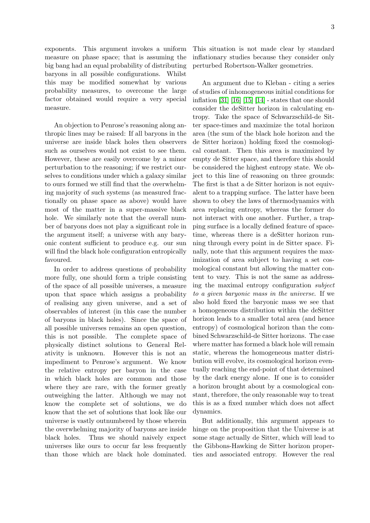exponents. This argument invokes a uniform measure on phase space; that is assuming the big bang had an equal probability of distributing baryons in all possible configurations. Whilst this may be modified somewhat by various probability measures, to overcome the large factor obtained would require a very special measure.

An objection to Penrose's reasoning along anthropic lines may be raised: If all baryons in the universe are inside black holes then observers such as ourselves would not exist to see them. However, these are easily overcome by a minor perturbation to the reasoning; if we restrict ourselves to conditions under which a galaxy similar to ours formed we still find that the overwhelming majority of such systems (as measured fractionally on phase space as above) would have most of the matter in a super-massive black hole. We similarly note that the overall number of baryons does not play a significant role in the argument itself; a universe with any baryonic content sufficient to produce e.g. our sun will find the black hole configuration entropically favoured.

In order to address questions of probability more fully, one should form a triple consisting of the space of all possible universes, a measure upon that space which assigns a probability of realising any given universe, and a set of observables of interest (in this case the number of baryons in black holes). Since the space of all possible universes remains an open question, this is not possible. The complete space of physically distinct solutions to General Relativity is unknown. However this is not an impediment to Penrose's argument. We know the relative entropy per baryon in the case in which black holes are common and those where they are rare, with the former greatly outweighing the latter. Although we may not know the complete set of solutions, we do know that the set of solutions that look like our universe is vastly outnumbered by those wherein the overwhelming majority of baryons are inside black holes. Thus we should naively expect universes like ours to occur far less frequently than those which are black hole dominated. This situation is not made clear by standard inflationary studies because they consider only perturbed Robertson-Walker geometries.

An argument due to Kleban - citing a series of studies of inhomogeneous initial conditions for inflation  $[31]$   $[16]$   $[15]$   $[14]$  - states that one should consider the deSitter horizon in calculating entropy. Take the space of Schwarzschild-de Sitter space-times and maximize the total horizon area (the sum of the black hole horizon and the de Sitter horizon) holding fixed the cosmological constant. Then this area is maximized by empty de Sitter space, and therefore this should be considered the highest entropy state. We object to this line of reasoning on three grounds: The first is that a de Sitter horizon is not equivalent to a trapping surface. The latter have been shown to obey the laws of thermodynamics with area replacing entropy, whereas the former do not interact with one another. Further, a trapping surface is a locally defined feature of spacetime, whereas there is a deSitter horizon running through every point in de Sitter space. Finally, note that this argument requires the maximization of area subject to having a set cosmological constant but allowing the matter content to vary. This is not the same as addressing the maximal entropy configuration subject to a given baryonic mass in the universe. If we also hold fixed the baryonic mass we see that a homogeneous distribution within the deSitter horizon leads to a smaller total area (and hence entropy) of cosmological horizon than the combined Schwarzschild-de Sitter horizons. The case where matter has formed a black hole will remain static, whereas the homogeneous matter distribution will evolve, its cosmological horizon eventually reaching the end-point of that determined by the dark energy alone. If one is to consider a horizon brought about by a cosmological constant, therefore, the only reasonable way to treat this is as a fixed number which does not affect dynamics.

But additionally, this argument appears to hinge on the proposition that the Universe is at some stage actually de Sitter, which will lead to the Gibbons-Hawking de Sitter horizon properties and associated entropy. However the real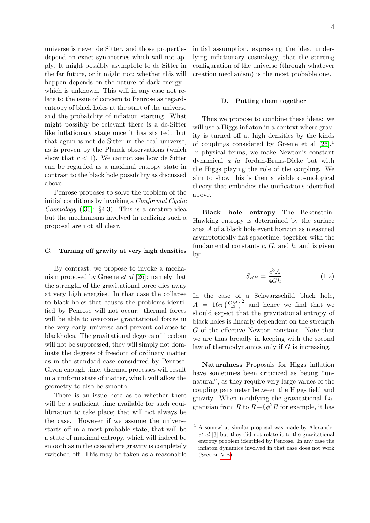universe is never de Sitter, and those properties depend on exact symmetries which will not apply. It might possibly asymptote to de Sitter in the far future, or it might not; whether this will happen depends on the nature of dark energy which is unknown. This will in any case not relate to the issue of concern to Penrose as regards entropy of black holes at the start of the universe and the probability of inflation starting. What might possibly be relevant there is a de-Sitter like inflationary stage once it has started: but that again is not de Sitter in the real universe, as is proven by the Planck observations (which show that  $r < 1$ . We cannot see how de Sitter can be regarded as a maximal entropy state in contrast to the black hole possibility as discussed above.

Penrose proposes to solve the problem of the initial conditions by invoking a Conformal Cyclic Cosmology ([\[35\]](#page-15-0):  $\S 4.3$ ). This is a creative idea but the mechanisms involved in realizing such a proposal are not all clear.

## C. Turning off gravity at very high densities

By contrast, we propose to invoke a mechanism proposed by Greene et al [\[26\]](#page-15-8): namely that the strength of the gravitational force dies away at very high energies. In that case the collapse to black holes that causes the problems identified by Penrose will not occur: thermal forces will be able to overcome gravitational forces in the very early universe and prevent collapse to blackholes. The gravitational degrees of freedom will not be suppressed, they will simply not dominate the degrees of freedom of ordinary matter as in the standard case considered by Penrose. Given enough time, thermal processes will result in a uniform state of matter, which will allow the geometry to also be smooth.

There is an issue here as to whether there will be a sufficient time available for such equilibriation to take place; that will not always be the case. However if we assume the universe starts off in a most probable state, that will be a state of maximal entropy, which will indeed be smooth as in the case where gravity is completely switched off. This may be taken as a reasonable initial assumption, expressing the idea, underlying inflationary cosmology, that the starting configuration of the universe (through whatever creation mechanism) is the most probable one.

## D. Putting them together

Thus we propose to combine these ideas: we will use a Higgs inflaton in a context where gravity is turned off at high densities by the kinds of couplings considered by Greene et al [\[26\]](#page-15-8).<sup>1</sup> In physical terms, we make Newton's constant dynamical a la Jordan-Brans-Dicke but with the Higgs playing the role of the coupling. We aim to show this is then a viable cosmological theory that embodies the unifications identified above.

<span id="page-3-0"></span>Black hole entropy The Bekenstein-Hawking entropy is determined by the surface area A of a black hole event horizon as measured asymptotically flat spacetime, together with the fundamental constants  $c, G$ , and  $h$ , and is given by:

$$
S_{BH} = \frac{c^3 A}{4G\hbar} \tag{1.2}
$$

In the case of a Schwarzschild black hole,  $A = 16\pi \left(\frac{GM}{c^2}\right)^2$  and hence we find that we should expect that the gravitational entropy of black holes is linearly dependent on the strength G of the effective Newton constant. Note that we are thus broadly in keeping with the second law of thermodynamics only if  $G$  is increasing.

Naturalness Proposals for Higgs inflation have sometimes been criticized as beung "unnatural", as they require very large values of the coupling parameter between the Higgs field and gravity. When modifying the gravitational Lagrangian from R to  $R + \xi \phi^2 R$  for example, it has

<sup>1</sup> A somewhat similar proposal was made by Alexander et al [\[3\]](#page-14-11) but they did not relate it to the gravitational entropy problem identified by Penrose. In any case the inflaton dynamics involved in that case does not work (Section VB).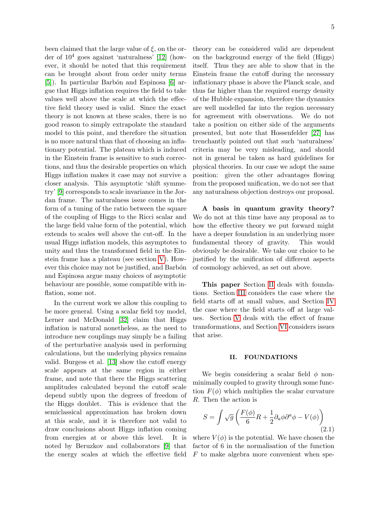been claimed that the large value of  $\xi$ , on the order of  $10^4$  goes against 'naturalness' [\[12\]](#page-14-12) (however, it should be noted that this requirement can be brought about from order unity terms  $[5]$ . In particular Barbón and Espinosa  $[6]$  argue that Higgs inflation requires the field to take values well above the scale at which the effective field theory used is valid. Since the exact theory is not known at these scales, there is no good reason to simply extrapolate the standard model to this point, and therefore the situation is no more natural than that of choosing an inflationary potential. The plateau which is induced in the Einstein frame is sensitive to such corrections, and thus the desirable properties on which Higgs inflation makes it case may not survive a closer analysis. This asymptotic 'shift symmetry' [\[9\]](#page-14-5) corresponds to scale invariance in the Jordan frame. The naturalness issue comes in the form of a tuning of the ratio between the square of the coupling of Higgs to the Ricci scalar and the large field value form of the potential, which extends to scales well above the cut-off. In the usual Higgs inflation models, this asymptotes to unity and thus the transformed field in the Einstein frame has a plateau (see section [V\)](#page-11-1). However this choice may not be justified, and Barbón and Espinosa argue many choices of asymptotic behaviour are possible, some compatible with inflation, some not.

In the current work we allow this coupling to be more general. Using a scalar field toy model, Lerner and McDonald [\[32\]](#page-15-9) claim that Higgs inflation is natural nonetheless, as the need to introduce new couplings may simply be a failing of the perturbative analysis used in performing calculations, but the underlying physics remains valid. Burgess et al. [\[13\]](#page-14-15) show the cutoff energy scale appears at the same region in either frame, and note that there the Higgs scattering amplitudes calculated beyond the cutoff scale depend subtly upon the degrees of freedom of the Higgs doublet. This is evidence that the semiclassical approximation has broken down at this scale, and it is therefore not valid to draw conclusions about Higgs inflation coming from energies at or above this level. It is noted by Beruzkov and collaborators [\[9\]](#page-14-5) that the energy scales at which the effective field theory can be considered valid are dependent on the background energy of the field (Higgs) itself. Thus they are able to show that in the Einstein frame the cutoff during the necessary inflationary phase is above the Planck scale, and thus far higher than the required energy density of the Hubble expansion, therefore the dynamics are well modelled far into the region necessary for agreement with observations. We do not take a position on either side of the arguments presented, but note that Hossenfelder [\[27\]](#page-15-10) has trenchantly pointed out that such 'naturalness' criteria may be very misleading, and should not in general be taken as hard guidelines for physical theories. In our case we adopt the same position: given the other advantages flowing from the proposed unification, we do not see that any naturalness objection destroys our proposal.

A basis in quantum gravity theory? We do not at this time have any proposal as to how the effective theory we put forward might have a deeper foundation in an underlying more fundamental theory of gravity. This would obviously be desirable. We take our choice to be justified by the unification of different aspects of cosmology achieved, as set out above.

This paper Section [II](#page-4-0) deals with foundations. Section [III](#page-6-0) considers the case where the field starts off at small values, and Section [IV](#page-8-0) the case where the field starts off at large values. Section [V](#page-11-1) deals with the effect of frame transformations, and Section [VI](#page-13-0) considers issues that arise.

#### <span id="page-4-0"></span>II. FOUNDATIONS

We begin considering a scalar field  $\phi$  nonminimally coupled to gravity through some function  $F(\phi)$  which multiplies the scalar curvature R. Then the action is

$$
S = \int \sqrt{g} \left( \frac{F(\phi)}{6} R + \frac{1}{2} \partial_a \phi \partial^a \phi - V(\phi) \right)
$$
(2.1)

where  $V(\phi)$  is the potential. We have chosen the factor of 6 in the normalisation of the function  $F$  to make algebra more convenient when spe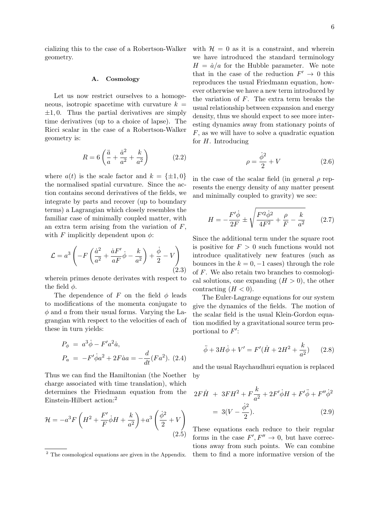cializing this to the case of a Robertson-Walker geometry.

## A. Cosmology

Let us now restrict ourselves to a homogeneous, isotropic spacetime with curvature  $k =$  $\pm 1, 0$ . Thus the partial derivatives are simply time derivatives (up to a choice of lapse). The Ricci scalar in the case of a Robertson-Walker geometry is:

$$
R = 6\left(\frac{\ddot{a}}{a} + \frac{\dot{a}^2}{a^2} + \frac{k}{a^2}\right) \tag{2.2}
$$

where  $a(t)$  is the scale factor and  $k = \{\pm 1, 0\}$ the normalised spatial curvature. Since the action contains second derivatives of the fields, we integrate by parts and recover (up to boundary terms) a Lagrangian which closely resembles the familiar case of minimally coupled matter, with an extra term arising from the variation of  $F$ , with F implicitly dependent upon  $\phi$ :

$$
\mathcal{L} = a^3 \left( -F \left( \frac{\dot{a}^2}{a^2} + \frac{\dot{a}F'}{aF} \dot{\phi} - \frac{k}{a^2} \right) + \frac{\dot{\phi}}{2} - V \right)
$$
\n(2.3)

wherein primes denote derivates with respect to the field  $\phi$ .

The dependence of F on the field  $\phi$  leads to modifications of the momenta conjugate to  $\phi$  and a from their usual forms. Varying the Lagrangian with respect to the velocities of each of these in turn yields:

$$
P_{\phi} = a^{3} \dot{\phi} - F^{\prime} a^{2} \dot{a},
$$
  
\n
$$
P_{a} = -F^{\prime} \dot{\phi} a^{2} + 2F \dot{a} a = -\frac{d}{dt} (Fa^{2}).
$$
 (2.4)

Thus we can find the Hamiltonian (the Noether charge associated with time translation), which determines the Friedmann equation from the Einstein-Hilbert action:<sup>2</sup>

$$
\mathcal{H} = -a^3 F \left( H^2 + \frac{F'}{F} \dot{\phi} H + \frac{k}{a^2} \right) + a^3 \left( \frac{\dot{\phi}^2}{2} + V \right)
$$
\n
$$
(2.5)
$$

with  $\mathcal{H} = 0$  as it is a constraint, and wherein we have introduced the standard terminology  $H = \dot{a}/a$  for the Hubble parameter. We note that in the case of the reduction  $F' \to 0$  this reproduces the usual Friedmann equation, however otherwise we have a new term introduced by the variation of F. The extra term breaks the usual relationship between expansion and energy density, thus we should expect to see more interesting dynamics away from stationary points of F, as we will have to solve a quadratic equation for  $H$ . Introducing

<span id="page-5-1"></span>
$$
\rho = \frac{\dot{\phi}^2}{2} + V \tag{2.6}
$$

in the case of the scalar field (in general  $\rho$  represents the energy density of any matter present and minimally coupled to gravity) we see:

$$
H = -\frac{F'\dot{\phi}}{2F} \pm \sqrt{\frac{F'^2\dot{\phi}^2}{4F^2} + \frac{\rho}{F} - \frac{k}{a^2}} \qquad (2.7)
$$

Since the additional term under the square root is positive for  $F > 0$  such functions would not introduce qualitatively new features (such as bounces in the  $k = 0, -1$  cases) through the role of F. We also retain two branches to cosmological solutions, one expanding  $(H > 0)$ , the other contracting  $(H < 0)$ .

The Euler-Lagrange equations for our system give the dynamics of the fields. The motion of the scalar field is the usual Klein-Gordon equation modified by a gravitational source term proportional to  $F'$ :

$$
\ddot{\phi} + 3H\dot{\phi} + V' = F'(\dot{H} + 2H^2 + \frac{k}{a^2})
$$
 (2.8)

and the usual Raychaudhuri equation is replaced by

<span id="page-5-0"></span>
$$
2F\dot{H} + 3FH^{2} + F\frac{k}{a^{2}} + 2F'\dot{\phi}H + F'\ddot{\phi} + F''\dot{\phi}^{2}
$$

$$
= 3(V - \frac{\dot{\phi}^{2}}{2}). \tag{2.9}
$$

These equations each reduce to their regular forms in the case  $F', F'' \to 0$ , but have corrections away from such points. We can combine them to find a more informative version of the

<sup>2</sup> The cosmological equations are given in the Appendix.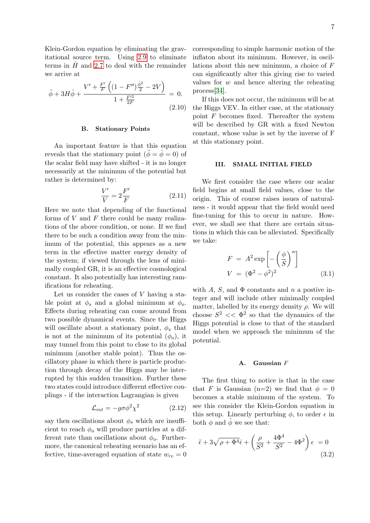Klein-Gordon equation by eliminating the gravitational source term. Using [2.9](#page-5-0) to eliminate terms in  $\hat{H}$  and [2.7](#page-5-1) to deal with the remainder we arrive at

<span id="page-6-2"></span>
$$
\ddot{\phi} + 3H\dot{\phi} + \frac{V' + \frac{F'}{F}\left((1 - F'')\frac{\dot{\phi}^2}{2} - 2V\right)}{1 + \frac{F'^2}{2F}} = 0.
$$
\n(2.10)

## B. Stationary Points

An important feature is that this equation reveals that the stationary point  $(\ddot{\phi} = \dot{\phi} = 0)$  of the scalar field may have shifted - it is no longer necessarily at the minimum of the potential but rather is determined by:

<span id="page-6-1"></span>
$$
\frac{V'}{V} = 2\frac{F'}{F}
$$
\n<sup>(2.11)</sup>

Here we note that depending of the functional forms of  $V$  and  $F$  there could be many realizations of the above condition, or none. If we find there to be such a condition away from the minimum of the potential, this appears as a new term in the effective matter energy density of the system; if viewed through the lens of minimally coupled GR, it is an effective cosmological constant. It also potentially has interesting ramifications for reheating.

Let us consider the cases of V having a stable point at  $\phi_s$  and a global minimum at  $\phi_o$ . Effects during reheating can come around from two possible dynamical events. Since the Higgs will oscillate about a stationary point,  $\phi_s$  that is not at the minimum of its potential  $(\phi_o)$ , it may tunnel from this point to close to its global minimum (another stable point). Thus the oscillatory phase in which there is particle production through decay of the Higgs may be interrupted by this sudden transition. Further these two states could introduce different effective couplings - if the interaction Lagrangian is given

$$
\mathcal{L}_{int} = -g\sigma\phi^2\chi^2 \tag{2.12}
$$

say then oscillations about  $\phi_s$  which are insufficient to reach  $\phi_o$  will produce particles at a different rate than oscillations about  $\phi_o$ . Furthermore, the canonical reheating scenario has an effective, time-averaged equation of state  $w_{re} = 0$  corresponding to simple harmonic motion of the inflaton about its minimum. However, in oscillations about this new minimum, a choice of F can significantly alter this giving rise to varied values for  $w$  and hence altering the reheating process[\[34\]](#page-15-11).

If this does not occur, the minimum will be at the Higgs VEV. In either case, at the stationary point  $F$  becomes fixed. Thereafter the system will be described by GR with a fixed Newton constant, whose value is set by the inverse of F at this stationary point.

#### <span id="page-6-0"></span>III. SMALL INITIAL FIELD

We first consider the case where our scalar field begins at small field values, close to the origin. This of course raises issues of naturalness - it would appear that the field would need fine-tuning for this to occur in nature. However, we shall see that there are certain situations in which this can be alleviated. Specifically we take:

<span id="page-6-3"></span>
$$
F = A2 \exp\left[-\left(\frac{\phi}{S}\right)^n\right]
$$

$$
V = (\Phi^2 - \phi^2)^2
$$
(3.1)

with  $A$ ,  $S$ , and  $\Phi$  constants and  $n$  a postive integer and will include other minimally coupled matter, labelled by its energy density  $\rho$ . We will choose  $S^2 \ll \Phi^2$  so that the dynamics of the Higgs potential is close to that of the standard model when we approach the minimum of the potential.

## A. Gaussian F

The first thing to notice is that in the case that F is Gaussian (n=2) we find that  $\phi = 0$ becomes a stable minimum of the system. To see this consider the Klein-Gordon equation in this setup. Linearly perturbing  $\phi$ , to order  $\epsilon$  in both  $\phi$  and  $\dot{\phi}$  we see that:

$$
\ddot{\epsilon} + 3\sqrt{\rho + \Phi^4} \dot{\epsilon} + \left(\frac{\rho}{S^2} + \frac{4\Phi^4}{S^2} - 4\Phi^2\right) \epsilon = 0
$$
\n(3.2)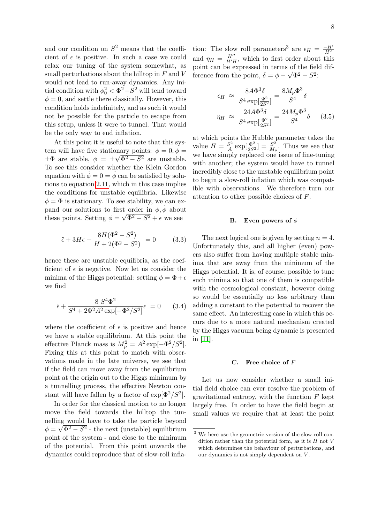and our condition on  $S^2$  means that the coefficient of  $\epsilon$  is positive. In such a case we could relax our tuning of the system somewhat, as small perturbations about the hilltop in  $F$  and  $V$ would not lead to run-away dynamics. Any initial condition with  $\phi_0^2 < \Phi^2 - S^2$  will tend toward  $\phi = 0$ , and settle there classically. However, this condition holds indefinitely, and as such it would not be possible for the particle to escape from this setup, unless it were to tunnel. That would be the only way to end inflation.

At this point it is useful to note that this system will have five stationary points:  $\phi = 0, \phi =$  $\pm\Phi$  are stable,  $\phi = \pm\sqrt{\Phi^2 - S^2}$  are unstable. To see this consider whether the Klein Gordon equation with  $\dot{\phi} = 0 = \ddot{\phi}$  can be satisfied by solutions to equation [2.11,](#page-6-1) which in this case implies the conditions for unstable equilibria. Likewise  $\phi = \Phi$  is stationary. To see stability, we can expand our solutions to first order in  $\phi$ ,  $\dot{\phi}$  about these points. Setting  $\phi = \sqrt{\Phi^2 - S^2} + \epsilon$  we see

$$
\ddot{\epsilon} + 3H\epsilon - \frac{8H(\Phi^2 - S^2)}{H + 2(\Phi^2 - S^2)} = 0 \tag{3.3}
$$

hence these are unstable equilibria, as the coefficient of  $\epsilon$  is negative. Now let us consider the minima of the Higgs potential: setting  $\phi = \Phi + \epsilon$ we find

$$
\ddot{\epsilon} + \frac{8 S^4 \Phi^2}{S^4 + 2\Phi^2 A^2 \exp[-\Phi^2/S^2]} \epsilon = 0 \qquad (3.4)
$$

where the coefficient of  $\epsilon$  is positive and hence we have a stable equilibrium. At this point the effective Planck mass is  $M_p^2 = A^2 \exp[-\Phi^2/S^2]$ . Fixing this at this point to match with observations made in the late universe, we see that if the field can move away from the equilibrium point at the origin out to the Higgs minimum by a tunnelling process, the effective Newton constant will have fallen by a factor of  $\exp[\Phi^2/S^2]$ .

In order for the classical motion to no longer move the field towards the hilltop the tunnelling would have to take the particle beyond  $\phi = \sqrt{\Phi^2 - S^2}$  - the next (unstable) equilibrium point of the system - and close to the minimum of the potential. From this point onwards the dynamics could reproduce that of slow-roll inflation: The slow roll parameters<sup>3</sup> are  $\epsilon_H = \frac{-H}{H^2}$  $H<sup>2</sup>$ and  $\eta_H = \frac{H''}{H'H}$  $\frac{H^{\prime\prime}}{H^{\prime}H}$ , which to first order about this point can be expressed in terms of the field difference from the point,  $\delta = \phi - \sqrt{\Phi^2 - S^2}$ :

$$
\epsilon_H \approx \frac{8A\Phi^3 \delta}{S^4 \exp[\frac{\Phi^2}{2S^2}]} = \frac{8M_p\Phi^3}{S^4} \delta
$$

$$
\eta_H \approx \frac{24A\Phi^3 \delta}{S^4 \exp[\frac{\Phi^2}{2S^2}]} = \frac{24M_p\Phi^3}{S^4} \delta \qquad (3.5)
$$

at which points the Hubble parameter takes the value  $H = \frac{S^2}{4}$  $\frac{S^2}{A} \exp[\frac{\Phi^2}{2S^2}] = \frac{S^2}{M_1}$  $\frac{S^2}{M_p}$ . Thus we see that we have simply replaced one issue of fine-tuning with another; the system would have to tunnel incredibly close to the unstable equilibrium point to begin a slow-roll inflation which was compatible with observations. We therefore turn our attention to other possible choices of F.

### **B.** Even powers of  $\phi$

The next logical one is given by setting  $n = 4$ . Unfortunately this, and all higher (even) powers also suffer from having multiple stable minima that are away from the minimum of the Higgs potential. It is, of course, possible to tune such minima so that one of them is compatible with the cosmological constant, however doing so would be essentially no less arbitrary than adding a constant to the potential to recover the same effect. An interesting case in which this occurs due to a more natural mechanism created by the Higgs vacuum being dynamic is presented in [\[11\]](#page-14-16).

## C. Free choice of F

Let us now consider whether a small initial field choice can ever resolve the problem of gravitational entropy, with the function  $F$  kept largely free. In order to have the field begin at small values we require that at least the point

<sup>3</sup> We here use the geometric version of the slow-roll condition rather than the potential form, as it is  $H$  not  $V$ which determines the behaviour of perturbations, and our dynamics is not simply dependent on  $V$ .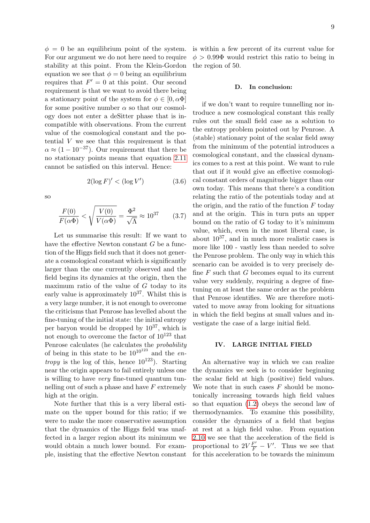$\phi = 0$  be an equilibrium point of the system. For our argument we do not here need to require stability at this point. From the Klein-Gordon equation we see that  $\phi = 0$  being an equilibrium requires that  $F' = 0$  at this point. Our second requirement is that we want to avoid there being a stationary point of the system for  $\phi \in [0, \alpha \Phi]$ for some positive number  $\alpha$  so that our cosmology does not enter a deSitter phase that is incompatible with observations. From the current value of the cosmological constant and the potential V we see that this requirement is that  $\alpha \approx (1 - 10^{-37})$ . Our requirement that there be no stationary points means that equation [2.11](#page-6-1) cannot be satisfied on this interval. Hence:

$$
2(\log F)' < (\log V') \tag{3.6}
$$

so

$$
\frac{F(0)}{F(\alpha \Phi)} < \sqrt{\frac{V(0)}{V(\alpha \Phi)}} = \frac{\Phi^2}{\sqrt{\Lambda}} \approx 10^{37} \tag{3.7}
$$

Let us summarise this result: If we want to have the effective Newton constant G be a function of the Higgs field such that it does not generate a cosmological constant which is significantly larger than the one currently observed and the field begins its dynamics at the origin, then the maximum ratio of the value of  $G$  today to its early value is approximately  $10^{37}$ . Whilst this is a very large number, it is not enough to overcome the criticisms that Penrose has levelled about the fine-tuning of the initial state: the initial entropy per baryon would be dropped by  $10^{37}$ , which is not enough to overcome the factor of  $10^{123}$  that Penrose calculates (he calculates the probability of being in this state to be  $10^{10^{123}}$  and the en*tropy* is the log of this, hence  $10^{123}$ ). Starting near the origin appears to fail entirely unless one is willing to have very fine-tuned quantum tunnelling out of such a phase and have  $F$  extremely high at the origin.

Note further that this is a very liberal estimate on the upper bound for this ratio; if we were to make the more conservative assumption that the dynamics of the Higgs field was unaffected in a larger region about its minimum we would obtain a much lower bound. For example, insisting that the effective Newton constant is within a few percent of its current value for  $\phi > 0.99\Phi$  would restrict this ratio to being in the region of 50.

#### D. In conclusion:

if we don't want to require tunnelling nor introduce a new cosmological constant this really rules out the small field case as a solution to the entropy problem pointed out by Penrose. A (stable) stationary point of the scalar field away from the minimum of the potential introduces a cosmological constant, and the classical dynamics comes to a rest at this point. We want to rule that out if it would give an effective cosmological constant orders of magnitude bigger than our own today. This means that there's a condition relating the ratio of the potentials today and at the origin, and the ratio of the function  $F$  today and at the origin. This in turn puts an upper bound on the ratio of G today to it's minimum value, which, even in the most liberal case, is about  $10^{37}$ , and in much more realistic cases is more like 100 - vastly less than needed to solve the Penrose problem. The only way in which this scenario can be avoided is to very precisely define  $F$  such that  $G$  becomes equal to its current value very suddenly, requiring a degree of finetuning on at least the same order as the problem that Penrose identifies. We are therefore motivated to move away from looking for situations in which the field begins at small values and investigate the case of a large initial field.

## <span id="page-8-0"></span>IV. LARGE INITIAL FIELD

An alternative way in which we can realize the dynamics we seek is to consider beginning the scalar field at high (positive) field values. We note that in such cases  $F$  should be monotonically increasing towards high field values so that equation [\(1.2\)](#page-3-0) obeys the second law of thermodynamics. To examine this possibility, consider the dynamics of a field that begins at rest at a high field value. From equation [2.10](#page-6-2) we see that the acceleration of the field is proportional to  $2V\frac{F'}{F} - V'$ . Thus we see that for this acceleration to be towards the minimum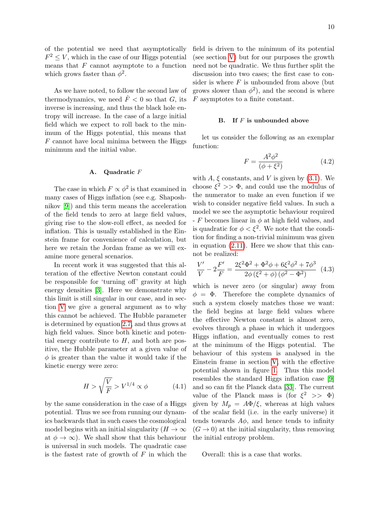of the potential we need that asymptotically  $F^2 \leq V$ , which in the case of our Higgs potential means that  $F$  cannot asymptote to a function which grows faster than  $\phi^2$ .

As we have noted, to follow the second law of thermodynamics, we need  $\dot{F}$  < 0 so that G, its inverse is increasing, and thus the black hole entropy will increase. In the case of a large initial field which we expect to roll back to the minimum of the Higgs potential, this means that  $F$  cannot have local minima between the Higgs minimum and the initial value.

## A. Quadratic F

The case in which  $F \propto \phi^2$  is that examined in many cases of Higgs inflation (see e.g. Shaposhnikov [\[9\]](#page-14-5)) and this term means the acceleration of the field tends to zero at large field values, giving rise to the slow-roll effect, as needed for inflation. This is usually established in the Einstein frame for convenience of calculation, but here we retain the Jordan frame as we will examine more general scenarios.

In recent work it was suggested that this alteration of the effective Newton constant could be responsible for 'turning off' gravity at high energy densities [\[3\]](#page-14-11). Here we demonstrate why this limit is still singular in our case, and in section [V](#page-11-1) we give a general argument as to why this cannot be achieved. The Hubble parameter is determined by equation [2.7,](#page-5-1) and thus grows at high field values. Since both kinetic and potential energy contribute to  $H$ , and both are positive, the Hubble parameter at a given value of  $\phi$  is greater than the value it would take if the kinetic energy were zero:

<span id="page-9-1"></span>
$$
H > \sqrt{\frac{V}{F}} > V^{1/4} \propto \phi \tag{4.1}
$$

by the same consideration in the case of a Higgs potential. Thus we see from running our dynamics backwards that in such cases the cosmological model begins with an initial singularity ( $H \to \infty$ at  $\phi \to \infty$ ). We shall show that this behaviour is universal in such models. The quadratic case is the fastest rate of growth of  $F$  in which the field is driven to the minimum of its potential (see section [V\)](#page-11-1) but for our purposes the growth need not be quadratic. We thus further split the discussion into two cases; the first case to consider is where  $F$  is unbounded from above (but grows slower than  $\phi^2$ ), and the second is where F asymptotes to a finite constant.

# <span id="page-9-2"></span>**B.** If  $F$  is unbounded above

let us consider the following as an exemplar function:

$$
F = \frac{A^2 \phi^2}{(\phi + \xi^2)}
$$
(4.2)

with  $A, \xi$  constants, and V is given by [\(3.1\)](#page-6-3). We choose  $\xi^2$  >>  $\Phi$ , and could use the modulus of the numerator to make an even function if we wish to consider negative field values. In such a model we see the asymptotic behaviour required  $-F$  becomes linear in  $\phi$  at high field values, and is quadratic for  $\phi < \xi^2$ . We note that the condition for finding a non-trivial minimum was given in equation [\(2.11\)](#page-6-1). Here we show that this cannot be realized:

<span id="page-9-0"></span>
$$
\frac{V'}{V} - 2\frac{F'}{F} = \frac{2\xi^2\Phi^2 + \Phi^2\phi + 6\xi^2\phi^2 + 7\phi^3}{2\phi(\xi^2 + \phi)(\phi^2 - \Phi^2)}
$$
(4.3)

which is never zero (or singular) away from  $\phi = \Phi$ . Therefore the complete dynamics of such a system closely matches those we want: the field begins at large field values where the effective Newton constant is almost zero, evolves through a phase in which it undergoes Higgs inflation, and eventually comes to rest at the minimum of the Higgs potential. The behaviour of this system is analysed in the Einstein frame in section [V,](#page-11-1) with the effective potential shown in figure [1.](#page-12-0) Thus this model resembles the standard Higgs inflation case [\[9\]](#page-14-5) and so can fit the Planck data [\[33\]](#page-15-1). The current value of the Planck mass is (for  $\xi^2 \gg \Phi$ ) given by  $M_p = A\Phi/\xi$ , whereas at high values of the scalar field (i.e. in the early universe) it tends towards  $A\phi$ , and hence tends to infinity  $(G \to 0)$  at the initial singularity, thus removing the initial entropy problem.

Overall: this is a case that works.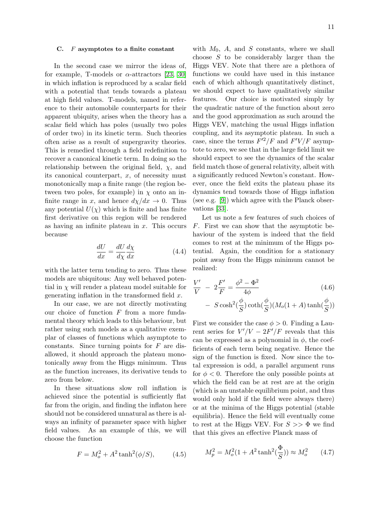## C.  $F$  asymptotes to a finite constant

In the second case we mirror the ideas of, for example, T-models or  $\alpha$ -attractors [\[23,](#page-15-12) [30\]](#page-15-13) in which inflation is reproduced by a scalar field with a potential that tends towards a plateau at high field values. T-models, named in reference to their automobile counterparts for their apparent ubiquity, arises when the theory has a scalar field which has poles (usually two poles of order two) in its kinetic term. Such theories often arise as a result of supergravity theories. This is remedied through a field redefinition to recover a canonical kinetic term. In doing so the relationship between the original field,  $\chi$ , and its canonical counterpart,  $x$ , of necessity must monotonically map a finite range (the region between two poles, for example) in  $\chi$  onto an infinite range in x, and hence  $d\chi/dx \to 0$ . Thus any potential  $U(\chi)$  which is finite and has finite first derivative on this region will be rendered as having an infinite plateau in  $x$ . This occurs because

$$
\frac{dU}{dx} = \frac{dU}{d\chi}\frac{d\chi}{dx} \tag{4.4}
$$

with the latter term tending to zero. Thus these models are ubiquitous: Any well behaved potential in  $\chi$  will render a plateau model suitable for generating inflation in the transformed field  $x$ .

In our case, we are not directly motivating our choice of function  $F$  from a more fundamental theory which leads to this behaviour, but rather using such models as a qualitative exemplar of classes of functions which asymptote to constants. Since turning points for  $F$  are disallowed, it should approach the plateau monotonically away from the Higgs minimum. Thus as the function increases, its derivative tends to zero from below.

In these situations slow roll inflation is achieved since the potential is sufficiently flat far from the origin, and finding the inflaton here should not be considered unnatural as there is always an infinity of parameter space with higher field values. As an example of this, we will choose the function

<span id="page-10-0"></span>
$$
F = M_o^2 + A^2 \tanh^2(\phi/S), \tag{4.5}
$$

with  $M_0$ , A, and S constants, where we shall choose S to be considerably larger than the Higgs VEV. Note that there are a plethora of functions we could have used in this instance each of which although quantitatively distinct, we should expect to have qualitatively similar features. Our choice is motivated simply by the quadratic nature of the function about zero and the good approximation as such around the Higgs VEV, matching the usual Higgs inflation coupling, and its asymptotic plateau. In such a case, since the terms  $F'^2/F$  and  $F'V/F$  asymptote to zero, we see that in the large field limit we should expect to see the dynamics of the scalar field match those of general relativity, albeit with a significantly reduced Newton's constant. However, once the field exits the plateau phase its dynamics tend towards those of Higgs inflation (see e.g. [\[9\]](#page-14-5)) which agree with the Planck observations [\[33\]](#page-15-1).

Let us note a few features of such choices of F. First we can show that the asymptotic behaviour of the system is indeed that the field comes to rest at the minimum of the Higgs potential. Again, the condition for a stationary point away from the Higgs minimum cannot be realized:

$$
\frac{V'}{V} - 2\frac{F'}{F} = \frac{\phi^2 - \Phi^2}{4\phi}
$$
 (4.6)  
-  $S \cosh^2(\frac{\phi}{S})\coth(\frac{\phi}{S})(M_o(1+A)\tanh(\frac{\phi}{S}))$ 

First we consider the case  $\phi > 0$ . Finding a Laurent series for  $V'/V - 2F'/F$  reveals that this can be expressed as a polynomial in  $\phi$ , the coefficients of each term being negative. Hence the sign of the function is fixed. Now since the total expression is odd, a parallel argument runs for  $\phi < 0$ . Therefore the only possible points at which the field can be at rest are at the origin (which is an unstable equilibrium point, and thus would only hold if the field were always there) or at the minima of the Higgs potential (stable equilibria). Hence the field will eventually come to rest at the Higgs VEV. For  $S \gg \Phi$  we find that this gives an effective Planck mass of

$$
M_p^2 = M_o^2 (1 + A^2 \tanh^2(\frac{\Phi}{S})) \approx M_o^2 \qquad (4.7)
$$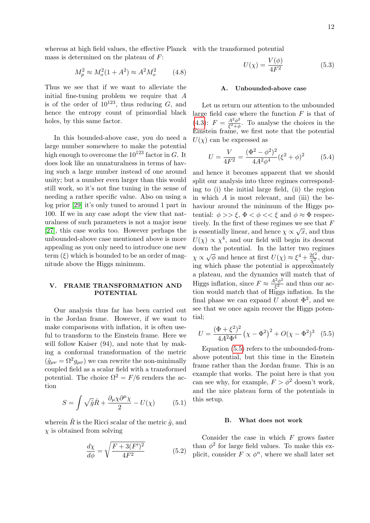whereas at high field values, the effective Planck with the transformed potential mass is determined on the plateau of F:

$$
M_p^2 \approx M_o^2 (1 + A^2) \approx A^2 M_o^2 \tag{4.8}
$$

Thus we see that if we want to alleviate the initial fine-tuning problem we require that  $A$ is of the order of  $10^{123}$ , thus reducing G, and hence the entropy count of primordial black holes, by this same factor.

In this bounded-above case, you do need a large number somewhere to make the potential high enough to overcome the  $10^{123}$  factor in G. It does look like an unnaturalness in terms of having such a large number instead of one around unity; but a number even larger than this would still work, so it's not fine tuning in the sense of needing a rather specific value. Also on using a log prior [\[29\]](#page-15-14) it's only tuned to around 1 part in 100. If we in any case adopt the view that naturalness of such parameters is not a major issue [\[27\]](#page-15-10), this case works too. However perhaps the unbounded-above case mentioned above is more appealing as you only need to introduce one new term  $(\xi)$  which is bounded to be an order of magnitude above the Higgs minimum.

# <span id="page-11-1"></span>V. FRAME TRANSFORMATION AND POTENTIAL

Our analysis thus far has been carried out in the Jordan frame. However, if we want to make comparisons with inflation, it is often useful to transform to the Einstein frame. Here we will follow Kaiser (94), and note that by making a conformal transformation of the metric  $(\hat{g}_{\mu\nu} = \Omega^2 g_{\mu\nu})$  we can rewrite the non-minimally coupled field as a scalar field with a transformed potential. The choice  $\Omega^2 = F/6$  renders the action

$$
S = \int \sqrt{\hat{g}} \hat{R} + \frac{\partial_{\mu} \chi \partial^{\mu} \chi}{2} - U(\chi) \tag{5.1}
$$

wherein  $\hat{R}$  is the Ricci scalar of the metric  $\hat{q}$ , and  $\chi$  is obtained from solving

$$
\frac{d\chi}{d\phi} = \sqrt{\frac{F + 3(F')^2}{4F^2}}\tag{5.2}
$$

$$
U(\chi) = \frac{V(\phi)}{4F^2} \tag{5.3}
$$

#### A. Unbounded-above case

Let us return our attention to the unbounded large field case where the function  $F$  is that of  $(4.3)$ :  $F = \frac{A^2 \phi^2}{\epsilon^2 + d}$  $\frac{A^2\phi^2}{\xi^2+\phi}$ . To analyse the choices in the Einstein frame, we first note that the potential  $U(\chi)$  can be expressed as

$$
U = \frac{V}{4F^2} = \frac{(\Phi^2 - \phi^2)^2}{4A^2\phi^4} (\xi^2 + \phi)^2
$$
 (5.4)

and hence it becomes apparent that we should split our analysis into three regimes corresponding to (i) the initial large field, (ii) the region in which  $A$  is most relevant, and (iii) the behaviour around the minimum of the Higgs potential:  $\phi \gg \xi$ ,  $\Phi \ll \phi \ll \xi$  and  $\phi \approx \Phi$  respectively. In the first of these regimes we see that  $\overline{F}$ is essentially linear, and hence  $\chi \propto \sqrt{x}$ , and thus  $U(\chi) \propto \chi^4$ , and our field will begin its descent down the potential. In the latter two regimes  $\chi \propto$ √  $\overline{\phi}$  and hence at first  $U(\chi) \approx \xi^4 + \frac{2\xi^2}{\chi^2}$ , during which phase the potential is approximately a plateau, and the dynamics will match that of Higgs inflation, since  $F \approx \frac{A^2 \phi^2}{\epsilon^2}$  $\frac{z^2 \phi^2}{\xi^2}$  and thus our action would match that of Higgs inflation. In the final phase we can expand U about  $\Phi^2$ , and we see that we once again recover the Higgs potential;

<span id="page-11-2"></span>
$$
U = \frac{(\Phi + \xi^2)^2}{4A^2 \Phi^4} \left(\chi - \Phi^2\right)^2 + O(\chi - \Phi^2)^3 \quad (5.5)
$$

Equation [\(5.5\)](#page-11-2) refers to the unbounded-fromabove potential, but this time in the Einstein frame rather than the Jordan frame. This is an example that works. The point here is that you can see why, for example,  $F > \phi^2$  doesn't work, and the nice plateau form of the potentials in this setup.

#### <span id="page-11-0"></span>B. What does not work

Consider the case in which  $F$  grows faster than  $\phi^2$  for large field values. To make this explicit, consider  $F \propto \phi^n$ , where we shall later set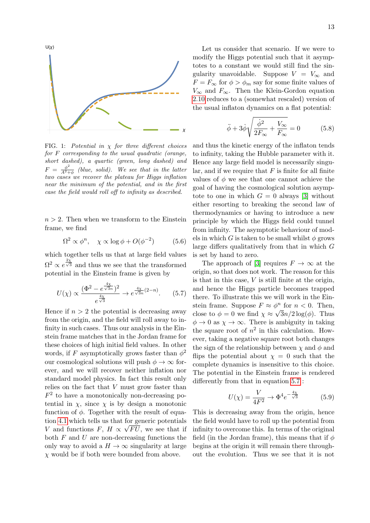

<span id="page-12-0"></span>FIG. 1: Potential in  $\chi$  for three different choices for F corresponding to the usual quadratic (orange, short dashed), a quartic (green, long dashed) and  $F = \frac{\phi^2}{A^2 + 1}$  $\frac{\varphi}{A^2+\phi}$  (blue, solid). We see that in the latter two cases we recover the plateau for Higgs inflation near the minimum of the potential, and in the first case the field would roll off to infinity as described.

 $n > 2$ . Then when we transform to the Einstein frame, we find

$$
\Omega^2 \propto \phi^n, \quad \chi \propto \log \phi + O(\phi^{-2}) \tag{5.6}
$$

which together tells us that at large field values  $\Omega^2 \propto e^{\frac{2\chi}{\sqrt{3}}}$  and thus we see that the transformed potential in the Einstein frame is given by

$$
U(\chi) \propto \frac{(\Phi^2 - e^{\frac{4\chi}{\sqrt{3}n}})^2}{e^{\frac{4\chi}{\sqrt{3}}} } \to e^{\frac{4\chi}{\sqrt{3}n}(2-n)}.
$$
 (5.7)

Hence if  $n > 2$  the potential is decreasing away from the origin, and the field will roll away to infinity in such cases. Thus our analysis in the Einstein frame matches that in the Jordan frame for these choices of high initial field values. In other words, if F asymptotically grows faster than  $\phi^2$ our cosmological solutions will push  $\phi \to \infty$  forever, and we will recover neither inflation nor standard model physics. In fact this result only relies on the fact that V must grow faster than  $F<sup>2</sup>$  to have a monotonically non-decreasing potential in  $\chi$ , since  $\chi$  is by design a monotonic function of  $\phi$ . Together with the result of equa-tion [4.1](#page-9-1) which tells us that for generic potentials V and functions F,  $H \propto \sqrt{FU}$ , we see that if both  $F$  and  $U$  are non-decreasing functions the only way to avoid a  $H \to \infty$  singularity at large  $\chi$  would be if both were bounded from above.

Let us consider that scenario. If we were to modify the Higgs potential such that it asymptotes to a constant we would still find the singularity unavoidable. Suppose  $V = V_{\infty}$  and  $F = F_{\infty}$  for  $\phi > \phi_m$  say for some finite values of  $V_{\infty}$  and  $F_{\infty}$ . Then the Klein-Gordon equation [2.10](#page-6-2) reduces to a (somewhat rescaled) version of the usual inflaton dynamics on a flat potential:

$$
\ddot{\phi} + 3\dot{\phi}\sqrt{\frac{\dot{\phi}^2}{2F_{\infty}} + \frac{V_{\infty}}{F_{\infty}}} = 0
$$
 (5.8)

and thus the kinetic energy of the inflaton tends to infinity, taking the Hubble parameter with it. Hence any large field model is necessarily singular, and if we require that  $F$  is finite for all finite values of  $\phi$  we see that one cannot achieve the goal of having the cosmological solution asymptote to one in which  $G = 0$  always [\[3\]](#page-14-11) without either resorting to breaking the second law of thermodynamics or having to introduce a new principle by which the Higgs field could tunnel from infinity. The asymptotic behaviour of models in which G is taken to be small whilst  $\phi$  grows large differs qualitatively from that in which G is set by hand to zero.

<span id="page-12-1"></span>The approach of [\[3\]](#page-14-11) requires  $F \to \infty$  at the origin, so that does not work. The reason for this is that in this case,  $V$  is still finite at the origin, and hence the Higgs particle becomes trapped there. To illustrate this we will work in the Einstein frame. Suppose  $F \approx \phi^n$  for  $n < 0$ . Then, close to  $\phi = 0$  we find  $\chi \approx \sqrt{3n/2 \log(\phi)}$ . Thus  $\phi \to 0$  as  $\chi \to \infty$ . There is ambiguity in taking the square root of  $n^2$  in this calculation. However, taking a negative square root both changes the sign of the relationship between  $\chi$  and  $\phi$  and flips the potential about  $\chi = 0$  such that the complete dynamics is insensitive to this choice. The potential in the Einstein frame is rendered differently from that in equation [5.7](#page-12-1) :

$$
U(\chi) = \frac{V}{4F^2} \to \Phi^4 e^{-\frac{4\chi}{\sqrt{3}}} \tag{5.9}
$$

This is decreasing away from the origin, hence the field would have to roll up the potential from infinity to overcome this. In terms of the original field (in the Jordan frame), this means that if  $\phi$ begins at the origin it will remain there throughout the evolution. Thus we see that it is not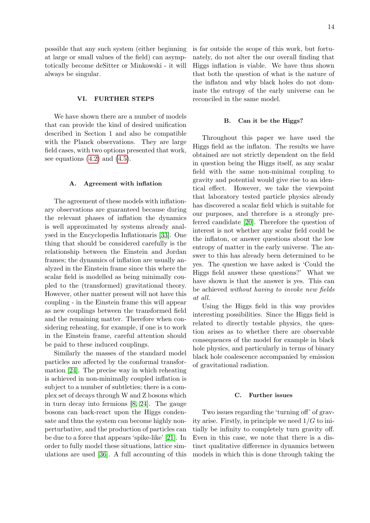possible that any such system (either beginning at large or small values of the field) can asymptotically become deSitter or Minkowski - it will always be singular.

## <span id="page-13-0"></span>VI. FURTHER STEPS

We have shown there are a number of models that can provide the kind of desired unification described in Section 1 and also be compatible with the Planck observations. They are large field cases, with two options presented that work, see equations  $(4.2)$  and  $(4.5)$ .

## A. Agreement with inflation

The agreement of these models with inflationary observations are guaranteed because during the relevant phases of inflation the dynamics is well approximated by systems already analysed in the Encyclopedia Inflationaris [\[33\]](#page-15-1). One thing that should be considered carefully is the relationship between the Einstein and Jordan frames; the dynamics of inflation are usually analyzed in the Einstein frame since this where the scalar field is modelled as being minimally coupled to the (transformed) gravitational theory. However, other matter present will not have this coupling - in the Einstein frame this will appear as new couplings between the transformed field and the remaining matter. Therefore when considering reheating, for example, if one is to work in the Einstein frame, careful attention should be paid to these induced couplings.

Similarly the masses of the standard model particles are affected by the conformal transformation [\[24\]](#page-15-15). The precise way in which reheating is achieved in non-minimally coupled inflation is subject to a number of subtleties; there is a complex set of decays through W and Z bosons which in turn decay into fermions [\[8,](#page-14-17) [24\]](#page-15-15). The gauge bosons can back-react upon the Higgs condensate and thus the system can become highly nonperturbative, and the production of particles can be due to a force that appears 'spike-like' [\[21\]](#page-15-16). In order to fully model these situations, lattice simulations are used [\[36\]](#page-15-17). A full accounting of this

is far outside the scope of this work, but fortunately, do not alter the our overall finding that Higgs inflation is viable. We have thus shown that both the question of what is the nature of the inflaton and why black holes do not dominate the entropy of the early universe can be reconciled in the same model.

#### B. Can it be the Higgs?

Throughout this paper we have used the Higgs field as the inflaton. The results we have obtained are not strictly dependent on the field in question being the Higgs itself, as any scalar field with the same non-minimal coupling to gravity and potential would give rise to an identical effect. However, we take the viewpoint that laboratory tested particle physics already has discovered a scalar field which is suitable for our purposes, and therefore is a strongly preferred candidate [\[20\]](#page-14-7). Therefore the question of interest is not whether any scalar field could be the inflaton, or answer questions about the low entropy of matter in the early universe. The answer to this has already been determined to be yes. The question we have asked is 'Could the Higgs field answer these questions?' What we have shown is that the answer is yes. This can be achieved without having to invoke new fields at all.

Using the Higgs field in this way provides interesting possibilities. Since the Higgs field is related to directly testable physics, the question arises as to whether there are observable consequences of the model for example in black hole physics, and particularly in terms of binary black hole coalescence accompanied by emission of gravitational radiation.

#### C. Further issues

Two issues regarding the 'turning off' of gravity arise. Firstly, in principle we need  $1/G$  to initially be infinity to completely turn gravity off. Even in this case, we note that there is a distinct qualitative difference in dynamics between models in which this is done through taking the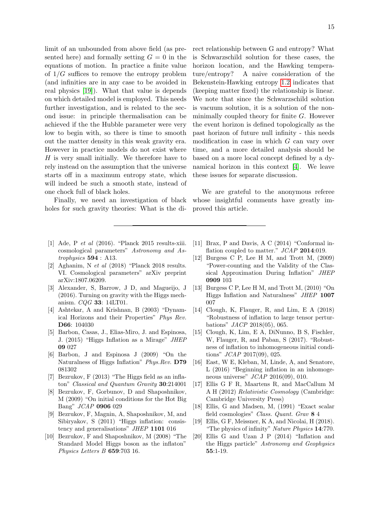limit of an unbounded from above field (as presented here) and formally setting  $G = 0$  in the equations of motion. In practice a finite value of  $1/G$  suffices to remove the entropy problem (and infinities are in any case to be avoided in real physics [\[19\]](#page-14-18)). What that value is depends on which detailed model is employed. This needs further investigation, and is related to the second issue: in principle thermalisation can be achieved if the the Hubble parameter were very low to begin with, so there is time to smooth out the matter density in this weak gravity era. However in practice models do not exist where  $H$  is very small initially. We therefore have to rely instead on the assumption that the universe starts off in a maximum entropy state, which will indeed be such a smooth state, instead of one chock full of black holes.

Finally, we need an investigation of black holes for such gravity theories: What is the direct relationship between G and entropy? What is Schwarzschild solution for these cases, the horizon location, and the Hawking temperature/entropy? A naive consideration of the Bekenstein-Hawking entropy [1.2](#page-3-0) indicates that (keeping matter fixed) the relationship is linear. We note that since the Schwarzschild solution is vacuum solution, it is a solution of the nonminimally coupled theory for finite  $G$ . However the event horizon is defined topologically as the past horizon of future null infinity - this needs modification in case in which G can vary over time, and a more detailed analysis should be based on a more local concept defined by a dynamical horizon in this context [\[4\]](#page-14-19). We leave these issues for separate discussion.

We are grateful to the anonymous referee whose insightful comments have greatly improved this article.

- <span id="page-14-0"></span>[1] Ade, P et al (2016). "Planck 2015 results-xiii. cosmological parameters" Astronomy and Astrophysics 594 : A13.
- <span id="page-14-1"></span>[2] Aghanim, N et al (2018) "Planck 2018 results. VI. Cosmological parameters" arXiv preprint arXiv:1807.06209.
- <span id="page-14-11"></span>[3] Alexander, S, Barrow, J D, and Magueijo, J (2016). Turning on gravity with the Higgs mechanism. CQG 33: 14LT01.
- <span id="page-14-19"></span>[4] Ashtekar, A and Krishnan, B (2003) "Dynamical Horizons and their Properties" Phys Rev. D66: 104030
- <span id="page-14-13"></span>[5] Barbon, Casas, J., Elias-Miro, J. and Espinosa, J. (2015) "Higgs Inflation as a Mirage" JHEP 09 027
- <span id="page-14-14"></span>[6] Barbon, J and Espinosa J (2009) "On the Naturalness of Higgs Inflation" Phys.Rev. D79 081302
- <span id="page-14-6"></span>[7] Bezrukov, F (2013) "The Higgs field as an inflaton" Classical and Quantum Gravity 30:214001
- <span id="page-14-17"></span>[8] Bezrukov, F, Gorbunov, D and Shaposhnikov, M (2009) "On initial conditions for the Hot Big Bang" JCAP 0906 029
- <span id="page-14-5"></span>[9] Bezrukov, F, Magnin, A, Shaposhnikov, M, and Sibiryakov, S (2011) "Higgs inflation: consistency and generalisations" JHEP 1101 016
- <span id="page-14-4"></span>[10] Bezrukov, F and Shaposhnikov, M (2008) "The Standard Model Higgs boson as the inflaton" Physics Letters B 659:703 16.
- <span id="page-14-16"></span>[11] Brax, P and Davis, A C (2014) "Conformal inflation coupled to matter."  $JCAP$  2014:019.
- <span id="page-14-12"></span>[12] Burgess C P, Lee H M, and Trott M, (2009) "Power-counting and the Validity of the Classical Approximation During Inflation" JHEP 0909 103
- <span id="page-14-15"></span>[13] Burgess C P, Lee H M, and Trott M, (2010) "On Higgs Inflation and Naturalness" JHEP 1007 007
- <span id="page-14-10"></span>[14] Clough, K, Flauger, R, and Lim, E A (2018) "Robustness of inflation to large tensor perturbations" JACP 2018(05), 065.
- <span id="page-14-9"></span>[15] Clough, K, Lim, E A, DiNunno, B S, Fischler, W, Flauger, R, and Paban, S (2017). "Robustness of inflation to inhomogeneous initial conditions" JCAP 2017(09), 025.
- <span id="page-14-8"></span>[16] East, W E, Kleban, M, Linde, A, and Senatore, L (2016) "Beginning inflation in an inhomogeneous universe"  $JCAP$  2016(09), 010.
- <span id="page-14-2"></span>[17] Ellis G F R, Maartens R, and MacCallum M A H (2012) Relativistic Cosmology (Cambridge: Cambridge University Press)
- <span id="page-14-3"></span>[18] Ellis, G and Madsen, M, (1991) "Exact scalar field cosmologies" Class. Quant. Grav 8 4
- <span id="page-14-18"></span>[19] Ellis, G F, Meissner, K A, and Nicolai, H (2018). "The physics of infinity" Nature Physics 14:770.
- <span id="page-14-7"></span>[20] Ellis G and Uzan J P (2014) "Inflation and the Higgs particle" Astronomy and Geophysics 55:1-19.